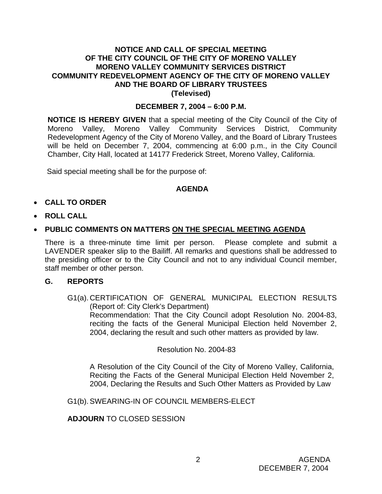# **NOTICE AND CALL OF SPECIAL MEETING OF THE CITY COUNCIL OF THE CITY OF MORENO VALLEY MORENO VALLEY COMMUNITY SERVICES DISTRICT COMMUNITY REDEVELOPMENT AGENCY OF THE CITY OF MORENO VALLEY AND THE BOARD OF LIBRARY TRUSTEES (Televised)**

# **DECEMBER 7, 2004 – 6:00 P.M.**

**NOTICE IS HEREBY GIVEN** that a special meeting of the City Council of the City of Moreno Valley, Moreno Valley Community Services District, Community Redevelopment Agency of the City of Moreno Valley, and the Board of Library Trustees will be held on December 7, 2004, commencing at 6:00 p.m., in the City Council Chamber, City Hall, located at 14177 Frederick Street, Moreno Valley, California.

Said special meeting shall be for the purpose of:

## **AGENDA**

- **CALL TO ORDER**
- **ROLL CALL**
- **PUBLIC COMMENTS ON MATTERS ON THE SPECIAL MEETING AGENDA**

There is a three-minute time limit per person. Please complete and submit a LAVENDER speaker slip to the Bailiff. All remarks and questions shall be addressed to the presiding officer or to the City Council and not to any individual Council member, staff member or other person.

#### **G. REPORTS**

G1(a). CERTIFICATION OF GENERAL MUNICIPAL ELECTION RESULTS (Report of: City Clerk's Department) Recommendation: That the City Council adopt Resolution No. 2004-83, reciting the facts of the General Municipal Election held November 2, 2004, declaring the result and such other matters as provided by law.

Resolution No. 2004-83

A Resolution of the City Council of the City of Moreno Valley, California, Reciting the Facts of the General Municipal Election Held November 2, 2004, Declaring the Results and Such Other Matters as Provided by Law

G1(b). SWEARING-IN OF COUNCIL MEMBERS-ELECT

**ADJOURN** TO CLOSED SESSION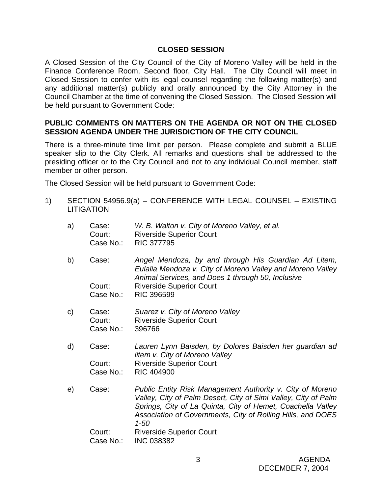# **CLOSED SESSION**

A Closed Session of the City Council of the City of Moreno Valley will be held in the Finance Conference Room, Second floor, City Hall. The City Council will meet in Closed Session to confer with its legal counsel regarding the following matter(s) and any additional matter(s) publicly and orally announced by the City Attorney in the Council Chamber at the time of convening the Closed Session. The Closed Session will be held pursuant to Government Code:

## **PUBLIC COMMENTS ON MATTERS ON THE AGENDA OR NOT ON THE CLOSED SESSION AGENDA UNDER THE JURISDICTION OF THE CITY COUNCIL**

There is a three-minute time limit per person. Please complete and submit a BLUE speaker slip to the City Clerk. All remarks and questions shall be addressed to the presiding officer or to the City Council and not to any individual Council member, staff member or other person.

The Closed Session will be held pursuant to Government Code:

- 1) SECTION 54956.9(a) CONFERENCE WITH LEGAL COUNSEL EXISTING **LITIGATION** 
	- a) Case: *W. B. Walton v. City of Moreno Valley, et al.* Court: Riverside Superior Court Case No.: RIC 377795
	- b) Case: *Angel Mendoza, by and through His Guardian Ad Litem, Eulalia Mendoza v. City of Moreno Valley and Moreno Valley Animal Services, and Does 1 through 50, Inclusive*  Court: Riverside Superior Court Case No.: RIC 396599
	- c) Case: *Suarez v. City of Moreno Valley*  Court: Riverside Superior Court Case No.: 396766
	- d) Case: *Lauren Lynn Baisden, by Dolores Baisden her guardian ad litem v. City of Moreno Valley*  Court: Riverside Superior Court Case No.: RIC 404900
	- e) Case: *Public Entity Risk Management Authority v. City of Moreno Valley, City of Palm Desert, City of Simi Valley, City of Palm Springs, City of La Quinta, City of Hemet, Coachella Valley Association of Governments, City of Rolling Hills, and DOES 1-50*  Court: Riverside Superior Court

Case No.: INC 038382